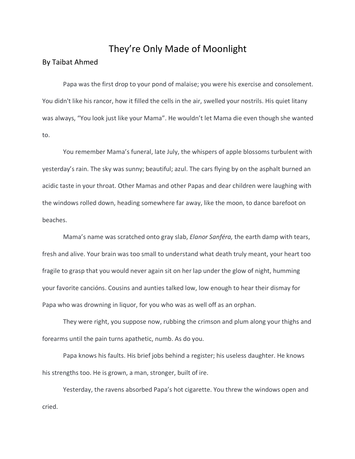## They're Only Made of Moonlight

## By Taibat Ahmed

Papa was the first drop to your pond of malaise; you were his exercise and consolement. You didn't like his rancor, how it filled the cells in the air, swelled your nostrils. His quiet litany was always, "You look just like your Mama". He wouldn't let Mama die even though she wanted to.

You remember Mama's funeral, late July, the whispers of apple blossoms turbulent with yesterday's rain. The sky was sunny; beautiful; azul. The cars flying by on the asphalt burned an acidic taste in your throat. Other Mamas and other Papas and dear children were laughing with the windows rolled down, heading somewhere far away, like the moon, to dance barefoot on beaches.

Mama's name was scratched onto gray slab, *Elanor Sanféra,* the earth damp with tears, fresh and alive. Your brain was too small to understand what death truly meant, your heart too fragile to grasp that you would never again sit on her lap under the glow of night, humming your favorite cancións. Cousins and aunties talked low, low enough to hear their dismay for Papa who was drowning in liquor, for you who was as well off as an orphan.

They were right, you suppose now, rubbing the crimson and plum along your thighs and forearms until the pain turns apathetic, numb. As do you.

Papa knows his faults. His brief jobs behind a register; his useless daughter. He knows his strengths too. He is grown, a man, stronger, built of ire.

Yesterday, the ravens absorbed Papa's hot cigarette. You threw the windows open and cried.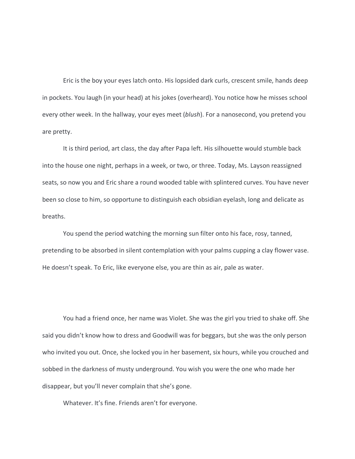Eric is the boy your eyes latch onto. His lopsided dark curls, crescent smile, hands deep in pockets. You laugh (in your head) at his jokes (overheard). You notice how he misses school every other week. In the hallway, your eyes meet (*blush*). For a nanosecond, you pretend you are pretty.

It is third period, art class, the day after Papa left. His silhouette would stumble back into the house one night, perhaps in a week, or two, or three. Today, Ms. Layson reassigned seats, so now you and Eric share a round wooded table with splintered curves. You have never been so close to him, so opportune to distinguish each obsidian eyelash, long and delicate as breaths.

You spend the period watching the morning sun filter onto his face, rosy, tanned, pretending to be absorbed in silent contemplation with your palms cupping a clay flower vase. He doesn't speak. To Eric, like everyone else, you are thin as air, pale as water.

You had a friend once, her name was Violet. She was the girl you tried to shake off. She said you didn't know how to dress and Goodwill was for beggars, but she was the only person who invited you out. Once, she locked you in her basement, six hours, while you crouched and sobbed in the darkness of musty underground. You wish you were the one who made her disappear, but you'll never complain that she's gone.

Whatever. It's fine. Friends aren't for everyone.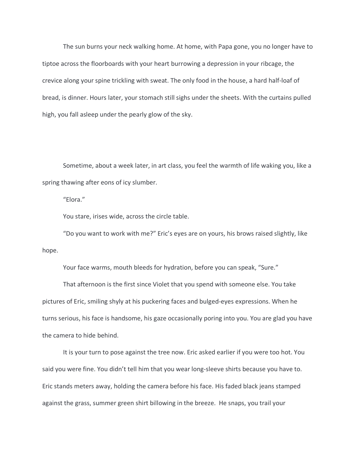The sun burns your neck walking home. At home, with Papa gone, you no longer have to tiptoe across the floorboards with your heart burrowing a depression in your ribcage, the crevice along your spine trickling with sweat. The only food in the house, a hard half-loaf of bread, is dinner. Hours later, your stomach still sighs under the sheets. With the curtains pulled high, you fall asleep under the pearly glow of the sky.

Sometime, about a week later, in art class, you feel the warmth of life waking you, like a spring thawing after eons of icy slumber.

"Elora."

You stare, irises wide, across the circle table.

"Do you want to work with me?" Eric's eyes are on yours, his brows raised slightly, like hope.

Your face warms, mouth bleeds for hydration, before you can speak, "Sure."

That afternoon is the first since Violet that you spend with someone else. You take pictures of Eric, smiling shyly at his puckering faces and bulged-eyes expressions. When he turns serious, his face is handsome, his gaze occasionally poring into you. You are glad you have the camera to hide behind.

It is your turn to pose against the tree now. Eric asked earlier if you were too hot. You said you were fine. You didn't tell him that you wear long-sleeve shirts because you have to. Eric stands meters away, holding the camera before his face. His faded black jeans stamped against the grass, summer green shirt billowing in the breeze. He snaps, you trail your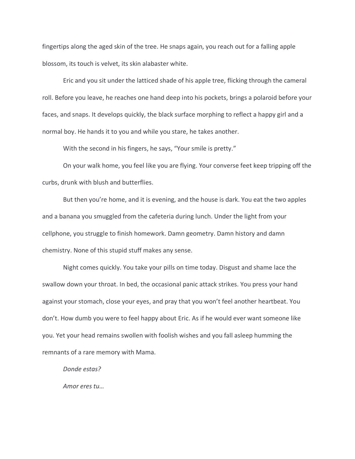fingertips along the aged skin of the tree. He snaps again, you reach out for a falling apple blossom, its touch is velvet, its skin alabaster white.

Eric and you sit under the latticed shade of his apple tree, flicking through the cameral roll. Before you leave, he reaches one hand deep into his pockets, brings a polaroid before your faces, and snaps. It develops quickly, the black surface morphing to reflect a happy girl and a normal boy. He hands it to you and while you stare, he takes another.

With the second in his fingers, he says, "Your smile is pretty."

On your walk home, you feel like you are flying. Your converse feet keep tripping off the curbs, drunk with blush and butterflies.

But then you're home, and it is evening, and the house is dark. You eat the two apples and a banana you smuggled from the cafeteria during lunch. Under the light from your cellphone, you struggle to finish homework. Damn geometry. Damn history and damn chemistry. None of this stupid stuff makes any sense.

Night comes quickly. You take your pills on time today. Disgust and shame lace the swallow down your throat. In bed, the occasional panic attack strikes. You press your hand against your stomach, close your eyes, and pray that you won't feel another heartbeat. You don't. How dumb you were to feel happy about Eric. As if he would ever want someone like you. Yet your head remains swollen with foolish wishes and you fall asleep humming the remnants of a rare memory with Mama.

*Donde estas?*

*Amor eres tu…*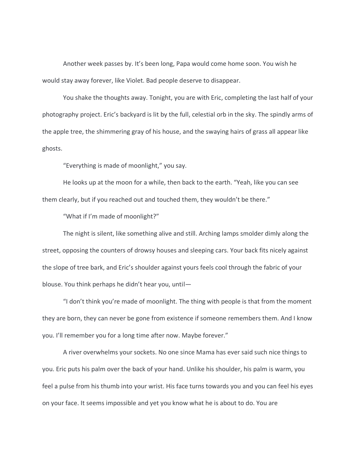Another week passes by. It's been long, Papa would come home soon. You wish he would stay away forever, like Violet. Bad people deserve to disappear.

You shake the thoughts away. Tonight, you are with Eric, completing the last half of your photography project. Eric's backyard is lit by the full, celestial orb in the sky. The spindly arms of the apple tree, the shimmering gray of his house, and the swaying hairs of grass all appear like ghosts.

"Everything is made of moonlight," you say.

He looks up at the moon for a while, then back to the earth. "Yeah, like you can see them clearly, but if you reached out and touched them, they wouldn't be there."

"What if I'm made of moonlight?"

The night is silent, like something alive and still. Arching lamps smolder dimly along the street, opposing the counters of drowsy houses and sleeping cars. Your back fits nicely against the slope of tree bark, and Eric's shoulder against yours feels cool through the fabric of your blouse. You think perhaps he didn't hear you, until—

"I don't think you're made of moonlight. The thing with people is that from the moment they are born, they can never be gone from existence if someone remembers them. And I know you. I'll remember you for a long time after now. Maybe forever."

A river overwhelms your sockets. No one since Mama has ever said such nice things to you. Eric puts his palm over the back of your hand. Unlike his shoulder, his palm is warm, you feel a pulse from his thumb into your wrist. His face turns towards you and you can feel his eyes on your face. It seems impossible and yet you know what he is about to do. You are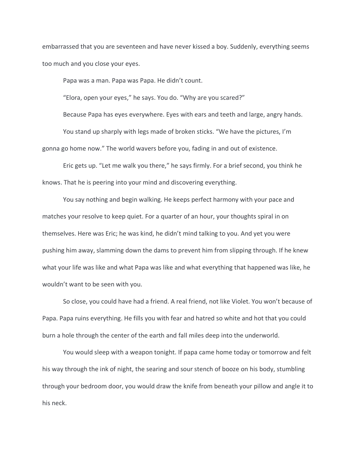embarrassed that you are seventeen and have never kissed a boy. Suddenly, everything seems too much and you close your eyes.

Papa was a man. Papa was Papa. He didn't count.

"Elora, open your eyes," he says. You do. "Why are you scared?"

Because Papa has eyes everywhere. Eyes with ears and teeth and large, angry hands. You stand up sharply with legs made of broken sticks. "We have the pictures, I'm gonna go home now." The world wavers before you, fading in and out of existence.

Eric gets up. "Let me walk you there," he says firmly. For a brief second, you think he knows. That he is peering into your mind and discovering everything.

You say nothing and begin walking. He keeps perfect harmony with your pace and matches your resolve to keep quiet. For a quarter of an hour, your thoughts spiral in on themselves. Here was Eric; he was kind, he didn't mind talking to you. And yet you were pushing him away, slamming down the dams to prevent him from slipping through. If he knew what your life was like and what Papa was like and what everything that happened was like, he wouldn't want to be seen with you.

So close, you could have had a friend. A real friend, not like Violet. You won't because of Papa. Papa ruins everything. He fills you with fear and hatred so white and hot that you could burn a hole through the center of the earth and fall miles deep into the underworld.

You would sleep with a weapon tonight. If papa came home today or tomorrow and felt his way through the ink of night, the searing and sour stench of booze on his body, stumbling through your bedroom door, you would draw the knife from beneath your pillow and angle it to his neck.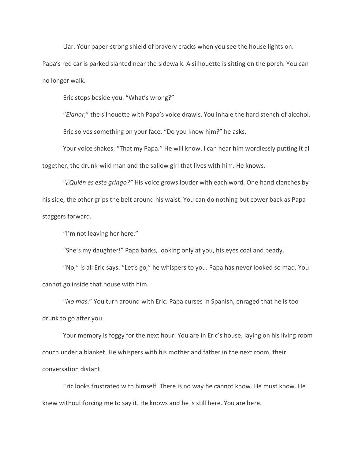Liar. Your paper-strong shield of bravery cracks when you see the house lights on.

Papa's red car is parked slanted near the sidewalk. A silhouette is sitting on the porch. You can no longer walk.

Eric stops beside you. "What's wrong?"

"*Elanor*," the silhouette with Papa's voice drawls. You inhale the hard stench of alcohol. Eric solves something on your face. "Do you know him?" he asks.

Your voice shakes. "That my Papa." He will know. I can hear him wordlessly putting it all together, the drunk-wild man and the sallow girl that lives with him. He knows.

"*¿Quién es este gringo?"* His voice grows louder with each word. One hand clenches by his side, the other grips the belt around his waist. You can do nothing but cower back as Papa staggers forward.

"I'm not leaving her here."

"She's my daughter!" Papa barks, looking only at you, his eyes coal and beady.

"No," is all Eric says. "Let's go," he whispers to you. Papa has never looked so mad. You cannot go inside that house with him.

"*No mas*." You turn around with Eric. Papa curses in Spanish, enraged that he is too drunk to go after you.

Your memory is foggy for the next hour. You are in Eric's house, laying on his living room couch under a blanket. He whispers with his mother and father in the next room, their conversation distant.

Eric looks frustrated with himself. There is no way he cannot know. He must know. He knew without forcing me to say it. He knows and he is still here. You are here.